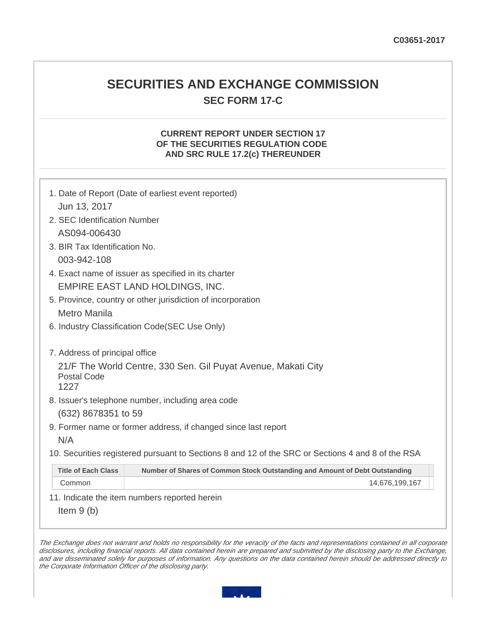# **SECURITIES AND EXCHANGE COMMISSION SEC FORM 17-C**

## **CURRENT REPORT UNDER SECTION 17 OF THE SECURITIES REGULATION CODE AND SRC RULE 17.2(c) THEREUNDER**

|                                                                                                   | 1. Date of Report (Date of earliest event reported)                         |  |  |
|---------------------------------------------------------------------------------------------------|-----------------------------------------------------------------------------|--|--|
| Jun 13, 2017                                                                                      |                                                                             |  |  |
| 2. SEC Identification Number                                                                      |                                                                             |  |  |
| AS094-006430                                                                                      |                                                                             |  |  |
|                                                                                                   | 3. BIR Tax Identification No.                                               |  |  |
| 003-942-108                                                                                       |                                                                             |  |  |
| 4. Exact name of issuer as specified in its charter                                               |                                                                             |  |  |
| EMPIRE EAST LAND HOLDINGS, INC.                                                                   |                                                                             |  |  |
| 5. Province, country or other jurisdiction of incorporation                                       |                                                                             |  |  |
| Metro Manila                                                                                      |                                                                             |  |  |
| 6. Industry Classification Code (SEC Use Only)                                                    |                                                                             |  |  |
| 7. Address of principal office                                                                    |                                                                             |  |  |
| 21/F The World Centre, 330 Sen. Gil Puyat Avenue, Makati City<br><b>Postal Code</b><br>1227       |                                                                             |  |  |
| 8. Issuer's telephone number, including area code                                                 |                                                                             |  |  |
| (632) 8678351 to 59                                                                               |                                                                             |  |  |
| 9. Former name or former address, if changed since last report                                    |                                                                             |  |  |
| N/A                                                                                               |                                                                             |  |  |
| 10. Securities registered pursuant to Sections 8 and 12 of the SRC or Sections 4 and 8 of the RSA |                                                                             |  |  |
| <b>Title of Each Class</b>                                                                        | Number of Shares of Common Stock Outstanding and Amount of Debt Outstanding |  |  |
| Common                                                                                            | 14,676,199,167                                                              |  |  |

11. Indicate the item numbers reported herein

Item 9 (b)

The Exchange does not warrant and holds no responsibility for the veracity of the facts and representations contained in all corporate disclosures, including financial reports. All data contained herein are prepared and submitted by the disclosing party to the Exchange, and are disseminated solely for purposes of information. Any questions on the data contained herein should be addressed directly to the Corporate Information Officer of the disclosing party.

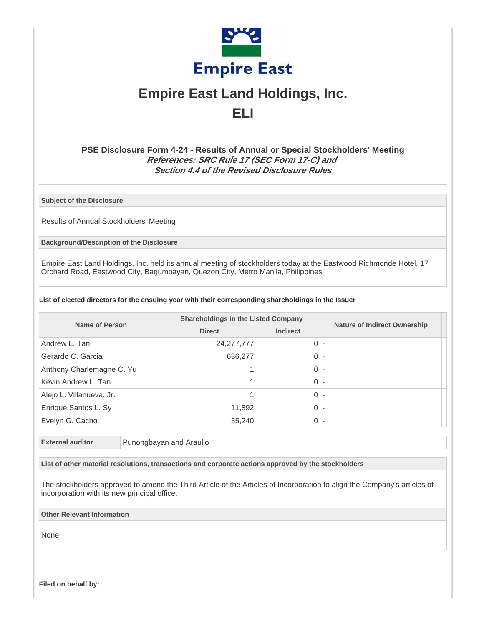

# **Empire East Land Holdings, Inc. ELI**

# **PSE Disclosure Form 4-24 - Results of Annual or Special Stockholders' Meeting References: SRC Rule 17 (SEC Form 17-C) and Section 4.4 of the Revised Disclosure Rules**

**Subject of the Disclosure**

Results of Annual Stockholders' Meeting

**Background/Description of the Disclosure**

Empire East Land Holdings, Inc. held its annual meeting of stockholders today at the Eastwood Richmonde Hotel, 17 Orchard Road, Eastwood City, Bagumbayan, Quezon City, Metro Manila, Philippines.

#### **List of elected directors for the ensuing year with their corresponding shareholdings in the Issuer**

| <b>Name of Person</b>     | <b>Shareholdings in the Listed Company</b> |                 |                                     |
|---------------------------|--------------------------------------------|-----------------|-------------------------------------|
|                           | <b>Direct</b>                              | <b>Indirect</b> | <b>Nature of Indirect Ownership</b> |
| Andrew L. Tan             | 24, 277, 777                               | $\Omega$        |                                     |
| Gerardo C. Garcia         | 636,277                                    | $\Omega$        |                                     |
| Anthony Charlemagne C. Yu |                                            | $\Omega$        |                                     |
| Kevin Andrew L. Tan       |                                            | $\Omega$        |                                     |
| Alejo L. Villanueva, Jr.  |                                            | $\Omega$        |                                     |
| Enrique Santos L. Sy      | 11,892                                     | $\Omega$        |                                     |
| Evelyn G. Cacho           | 35,240                                     | $\overline{0}$  |                                     |

**External auditor** Punongbayan and Araullo

**List of other material resolutions, transactions and corporate actions approved by the stockholders**

The stockholders approved to amend the Third Article of the Articles of Incorporation to align the Company's articles of incorporation with its new principal office.

**Other Relevant Information**

None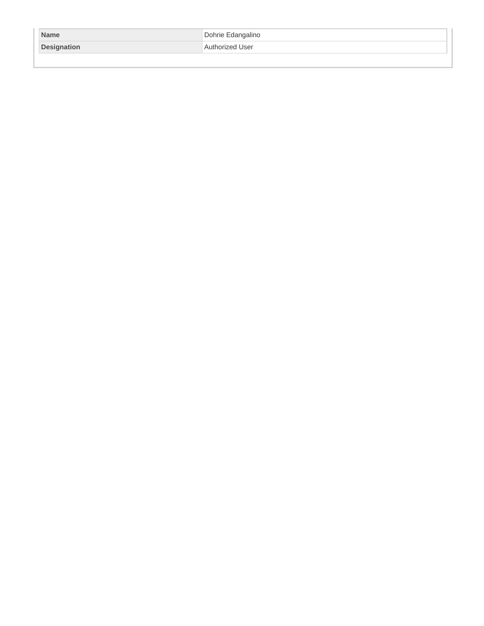| <b>Name</b>        | Dohrie Edangalino |
|--------------------|-------------------|
| <b>Designation</b> | Authorized User   |
|                    |                   |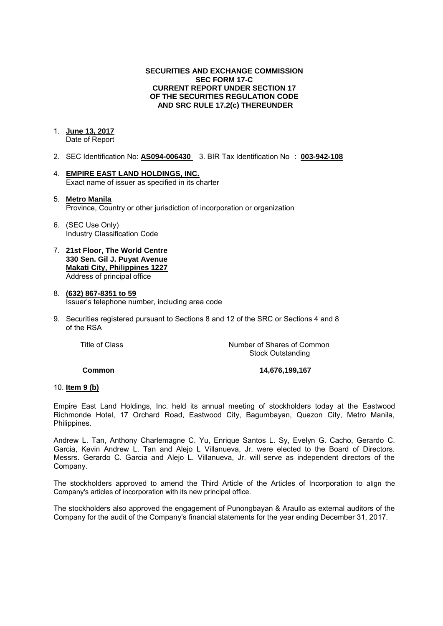### **SECURITIES AND EXCHANGE COMMISSION SEC FORM 17-C CURRENT REPORT UNDER SECTION 17 OF THE SECURITIES REGULATION CODE AND SRC RULE 17.2(c) THEREUNDER**

### 1. **June 13, 2017**

Date of Report

- 2. SEC Identification No: **AS094-006430** 3. BIR Tax Identification No : **003-942-108**
- 4. **EMPIRE EAST LAND HOLDINGS, INC.**  Exact name of issuer as specified in its charter

#### 5. **Metro Manila**  Province, Country or other jurisdiction of incorporation or organization

- 6. (SEC Use Only) Industry Classification Code
- 7. **21st Floor, The World Centre 330 Sen. Gil J. Puyat Avenue Makati City, Philippines 1227** Address of principal office
- 8. **(632) 867-8351 to 59**  Issuer's telephone number, including area code
- 9. Securities registered pursuant to Sections 8 and 12 of the SRC or Sections 4 and 8 of the RSA

 Title of ClassNumber of Shares of Common Stock Outstanding

**Common 14,676,199,167** 

#### 10. **Item 9 (b)**

Empire East Land Holdings, Inc. held its annual meeting of stockholders today at the Eastwood Richmonde Hotel, 17 Orchard Road, Eastwood City, Bagumbayan, Quezon City, Metro Manila, Philippines.

Andrew L. Tan, Anthony Charlemagne C. Yu, Enrique Santos L. Sy, Evelyn G. Cacho, Gerardo C. Garcia, Kevin Andrew L. Tan and Alejo L Villanueva, Jr. were elected to the Board of Directors. Messrs. Gerardo C. Garcia and Alejo L. Villanueva, Jr. will serve as independent directors of the Company.

The stockholders approved to amend the Third Article of the Articles of Incorporation to align the Company's articles of incorporation with its new principal office.

The stockholders also approved the engagement of Punongbayan & Araullo as external auditors of the Company for the audit of the Company's financial statements for the year ending December 31, 2017.